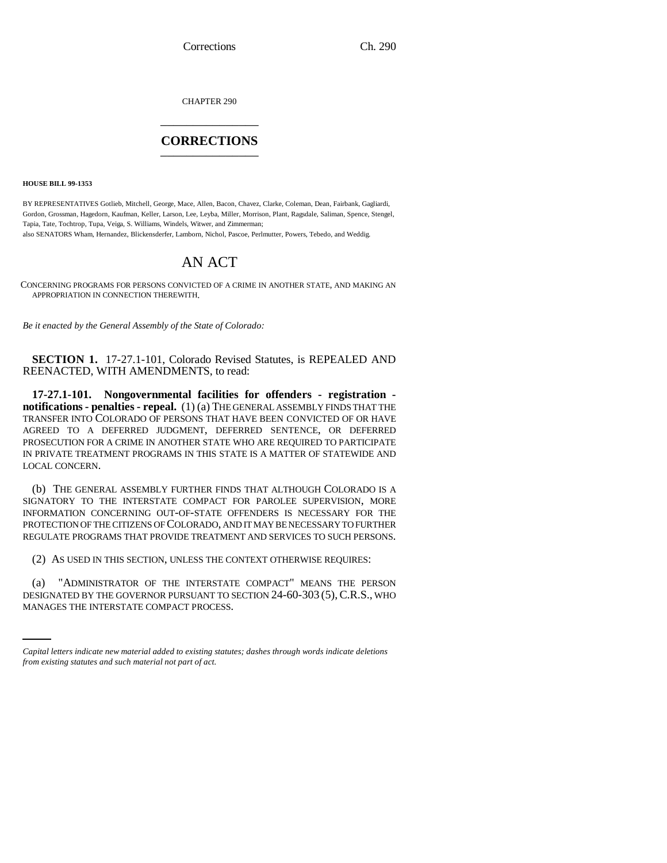Corrections Ch. 290

CHAPTER 290 \_\_\_\_\_\_\_\_\_\_\_\_\_\_\_

## **CORRECTIONS** \_\_\_\_\_\_\_\_\_\_\_\_\_\_\_

**HOUSE BILL 99-1353**

BY REPRESENTATIVES Gotlieb, Mitchell, George, Mace, Allen, Bacon, Chavez, Clarke, Coleman, Dean, Fairbank, Gagliardi, Gordon, Grossman, Hagedorn, Kaufman, Keller, Larson, Lee, Leyba, Miller, Morrison, Plant, Ragsdale, Saliman, Spence, Stengel, Tapia, Tate, Tochtrop, Tupa, Veiga, S. Williams, Windels, Witwer, and Zimmerman; also SENATORS Wham, Hernandez, Blickensderfer, Lamborn, Nichol, Pascoe, Perlmutter, Powers, Tebedo, and Weddig.

# AN ACT

CONCERNING PROGRAMS FOR PERSONS CONVICTED OF A CRIME IN ANOTHER STATE, AND MAKING AN APPROPRIATION IN CONNECTION THEREWITH.

*Be it enacted by the General Assembly of the State of Colorado:*

**SECTION 1.** 17-27.1-101, Colorado Revised Statutes, is REPEALED AND REENACTED, WITH AMENDMENTS, to read:

**17-27.1-101. Nongovernmental facilities for offenders - registration notifications - penalties - repeal.** (1) (a) THE GENERAL ASSEMBLY FINDS THAT THE TRANSFER INTO COLORADO OF PERSONS THAT HAVE BEEN CONVICTED OF OR HAVE AGREED TO A DEFERRED JUDGMENT, DEFERRED SENTENCE, OR DEFERRED PROSECUTION FOR A CRIME IN ANOTHER STATE WHO ARE REQUIRED TO PARTICIPATE IN PRIVATE TREATMENT PROGRAMS IN THIS STATE IS A MATTER OF STATEWIDE AND LOCAL CONCERN.

(b) THE GENERAL ASSEMBLY FURTHER FINDS THAT ALTHOUGH COLORADO IS A SIGNATORY TO THE INTERSTATE COMPACT FOR PAROLEE SUPERVISION, MORE INFORMATION CONCERNING OUT-OF-STATE OFFENDERS IS NECESSARY FOR THE PROTECTION OF THE CITIZENS OF COLORADO, AND IT MAY BE NECESSARY TO FURTHER REGULATE PROGRAMS THAT PROVIDE TREATMENT AND SERVICES TO SUCH PERSONS.

(2) AS USED IN THIS SECTION, UNLESS THE CONTEXT OTHERWISE REQUIRES:

(a) "ADMINISTRATOR OF THE INTERSTATE COMPACT" MEANS THE PERSON DESIGNATED BY THE GOVERNOR PURSUANT TO SECTION 24-60-303 (5), C.R.S., WHO MANAGES THE INTERSTATE COMPACT PROCESS.

*Capital letters indicate new material added to existing statutes; dashes through words indicate deletions from existing statutes and such material not part of act.*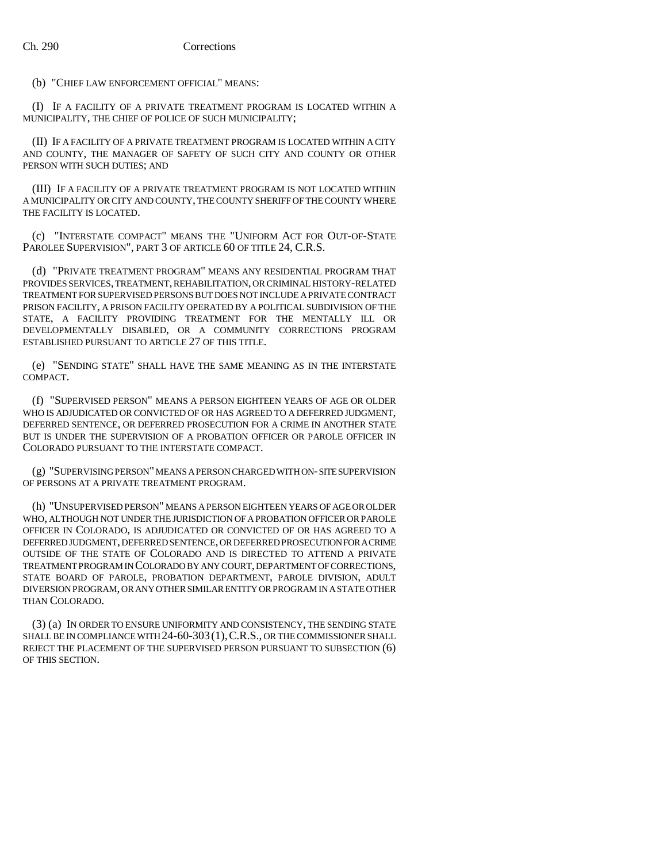### (b) "CHIEF LAW ENFORCEMENT OFFICIAL" MEANS:

(I) IF A FACILITY OF A PRIVATE TREATMENT PROGRAM IS LOCATED WITHIN A MUNICIPALITY, THE CHIEF OF POLICE OF SUCH MUNICIPALITY;

(II) IF A FACILITY OF A PRIVATE TREATMENT PROGRAM IS LOCATED WITHIN A CITY AND COUNTY, THE MANAGER OF SAFETY OF SUCH CITY AND COUNTY OR OTHER PERSON WITH SUCH DUTIES; AND

(III) IF A FACILITY OF A PRIVATE TREATMENT PROGRAM IS NOT LOCATED WITHIN A MUNICIPALITY OR CITY AND COUNTY, THE COUNTY SHERIFF OF THE COUNTY WHERE THE FACILITY IS LOCATED.

(c) "INTERSTATE COMPACT" MEANS THE "UNIFORM ACT FOR OUT-OF-STATE PAROLEE SUPERVISION", PART 3 OF ARTICLE 60 OF TITLE 24, C.R.S.

(d) "PRIVATE TREATMENT PROGRAM" MEANS ANY RESIDENTIAL PROGRAM THAT PROVIDES SERVICES, TREATMENT, REHABILITATION, OR CRIMINAL HISTORY-RELATED TREATMENT FOR SUPERVISED PERSONS BUT DOES NOT INCLUDE A PRIVATE CONTRACT PRISON FACILITY, A PRISON FACILITY OPERATED BY A POLITICAL SUBDIVISION OF THE STATE, A FACILITY PROVIDING TREATMENT FOR THE MENTALLY ILL OR DEVELOPMENTALLY DISABLED, OR A COMMUNITY CORRECTIONS PROGRAM ESTABLISHED PURSUANT TO ARTICLE 27 OF THIS TITLE.

(e) "SENDING STATE" SHALL HAVE THE SAME MEANING AS IN THE INTERSTATE COMPACT.

(f) "SUPERVISED PERSON" MEANS A PERSON EIGHTEEN YEARS OF AGE OR OLDER WHO IS ADJUDICATED OR CONVICTED OF OR HAS AGREED TO A DEFERRED JUDGMENT, DEFERRED SENTENCE, OR DEFERRED PROSECUTION FOR A CRIME IN ANOTHER STATE BUT IS UNDER THE SUPERVISION OF A PROBATION OFFICER OR PAROLE OFFICER IN COLORADO PURSUANT TO THE INTERSTATE COMPACT.

(g) "SUPERVISING PERSON" MEANS A PERSON CHARGED WITH ON- SITE SUPERVISION OF PERSONS AT A PRIVATE TREATMENT PROGRAM.

(h) "UNSUPERVISED PERSON" MEANS A PERSON EIGHTEEN YEARS OF AGE OR OLDER WHO, ALTHOUGH NOT UNDER THE JURISDICTION OF A PROBATION OFFICER OR PAROLE OFFICER IN COLORADO, IS ADJUDICATED OR CONVICTED OF OR HAS AGREED TO A DEFERRED JUDGMENT, DEFERRED SENTENCE, OR DEFERRED PROSECUTION FOR A CRIME OUTSIDE OF THE STATE OF COLORADO AND IS DIRECTED TO ATTEND A PRIVATE TREATMENT PROGRAM IN COLORADO BY ANY COURT, DEPARTMENT OF CORRECTIONS, STATE BOARD OF PAROLE, PROBATION DEPARTMENT, PAROLE DIVISION, ADULT DIVERSION PROGRAM, OR ANY OTHER SIMILAR ENTITY OR PROGRAM IN A STATE OTHER THAN COLORADO.

(3) (a) IN ORDER TO ENSURE UNIFORMITY AND CONSISTENCY, THE SENDING STATE SHALL BE IN COMPLIANCE WITH 24-60-303 (1), C.R.S., OR THE COMMISSIONER SHALL REJECT THE PLACEMENT OF THE SUPERVISED PERSON PURSUANT TO SUBSECTION (6) OF THIS SECTION.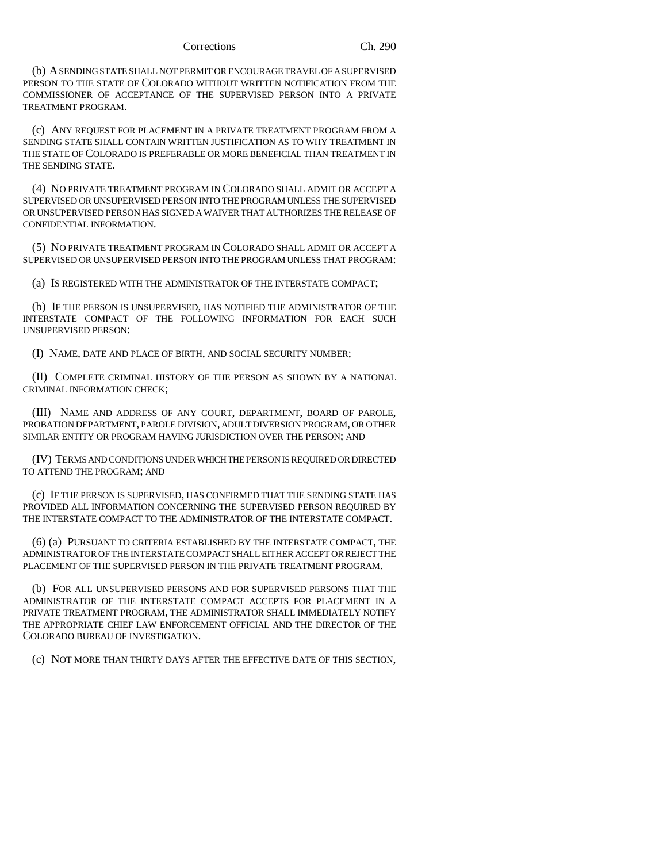#### Corrections Ch. 290

(b) A SENDING STATE SHALL NOT PERMIT OR ENCOURAGE TRAVEL OF A SUPERVISED PERSON TO THE STATE OF COLORADO WITHOUT WRITTEN NOTIFICATION FROM THE COMMISSIONER OF ACCEPTANCE OF THE SUPERVISED PERSON INTO A PRIVATE TREATMENT PROGRAM.

(c) ANY REQUEST FOR PLACEMENT IN A PRIVATE TREATMENT PROGRAM FROM A SENDING STATE SHALL CONTAIN WRITTEN JUSTIFICATION AS TO WHY TREATMENT IN THE STATE OF COLORADO IS PREFERABLE OR MORE BENEFICIAL THAN TREATMENT IN THE SENDING STATE.

(4) NO PRIVATE TREATMENT PROGRAM IN COLORADO SHALL ADMIT OR ACCEPT A SUPERVISED OR UNSUPERVISED PERSON INTO THE PROGRAM UNLESS THE SUPERVISED OR UNSUPERVISED PERSON HAS SIGNED A WAIVER THAT AUTHORIZES THE RELEASE OF CONFIDENTIAL INFORMATION.

(5) NO PRIVATE TREATMENT PROGRAM IN COLORADO SHALL ADMIT OR ACCEPT A SUPERVISED OR UNSUPERVISED PERSON INTO THE PROGRAM UNLESS THAT PROGRAM:

(a) IS REGISTERED WITH THE ADMINISTRATOR OF THE INTERSTATE COMPACT;

(b) IF THE PERSON IS UNSUPERVISED, HAS NOTIFIED THE ADMINISTRATOR OF THE INTERSTATE COMPACT OF THE FOLLOWING INFORMATION FOR EACH SUCH UNSUPERVISED PERSON:

(I) NAME, DATE AND PLACE OF BIRTH, AND SOCIAL SECURITY NUMBER;

(II) COMPLETE CRIMINAL HISTORY OF THE PERSON AS SHOWN BY A NATIONAL CRIMINAL INFORMATION CHECK;

(III) NAME AND ADDRESS OF ANY COURT, DEPARTMENT, BOARD OF PAROLE, PROBATION DEPARTMENT, PAROLE DIVISION, ADULT DIVERSION PROGRAM, OR OTHER SIMILAR ENTITY OR PROGRAM HAVING JURISDICTION OVER THE PERSON; AND

(IV) TERMS AND CONDITIONS UNDER WHICH THE PERSON IS REQUIRED OR DIRECTED TO ATTEND THE PROGRAM; AND

(c) IF THE PERSON IS SUPERVISED, HAS CONFIRMED THAT THE SENDING STATE HAS PROVIDED ALL INFORMATION CONCERNING THE SUPERVISED PERSON REQUIRED BY THE INTERSTATE COMPACT TO THE ADMINISTRATOR OF THE INTERSTATE COMPACT.

(6) (a) PURSUANT TO CRITERIA ESTABLISHED BY THE INTERSTATE COMPACT, THE ADMINISTRATOR OF THE INTERSTATE COMPACT SHALL EITHER ACCEPT OR REJECT THE PLACEMENT OF THE SUPERVISED PERSON IN THE PRIVATE TREATMENT PROGRAM.

(b) FOR ALL UNSUPERVISED PERSONS AND FOR SUPERVISED PERSONS THAT THE ADMINISTRATOR OF THE INTERSTATE COMPACT ACCEPTS FOR PLACEMENT IN A PRIVATE TREATMENT PROGRAM, THE ADMINISTRATOR SHALL IMMEDIATELY NOTIFY THE APPROPRIATE CHIEF LAW ENFORCEMENT OFFICIAL AND THE DIRECTOR OF THE COLORADO BUREAU OF INVESTIGATION.

(c) NOT MORE THAN THIRTY DAYS AFTER THE EFFECTIVE DATE OF THIS SECTION,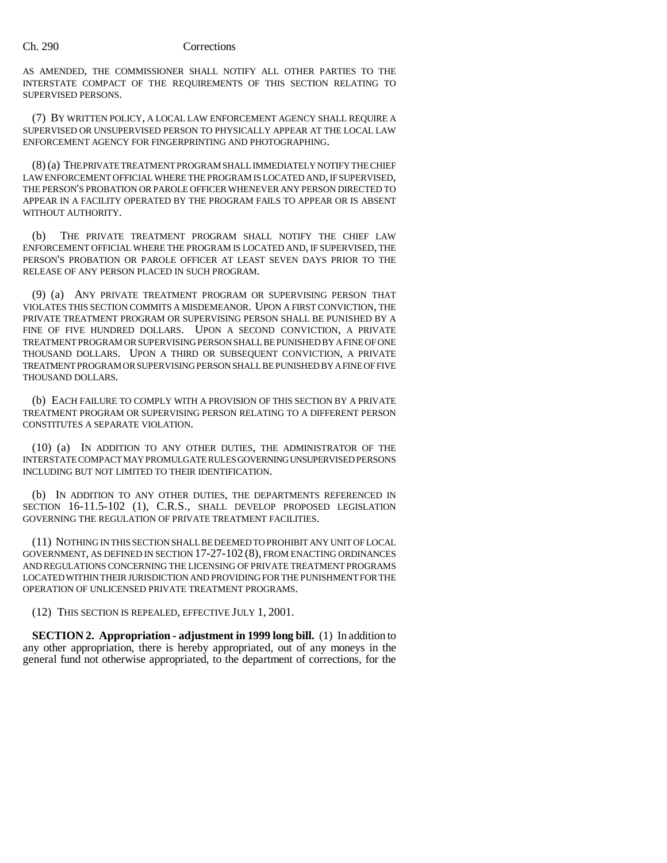## Ch. 290 Corrections

AS AMENDED, THE COMMISSIONER SHALL NOTIFY ALL OTHER PARTIES TO THE INTERSTATE COMPACT OF THE REQUIREMENTS OF THIS SECTION RELATING TO SUPERVISED PERSONS.

(7) BY WRITTEN POLICY, A LOCAL LAW ENFORCEMENT AGENCY SHALL REQUIRE A SUPERVISED OR UNSUPERVISED PERSON TO PHYSICALLY APPEAR AT THE LOCAL LAW ENFORCEMENT AGENCY FOR FINGERPRINTING AND PHOTOGRAPHING.

(8) (a) THE PRIVATE TREATMENT PROGRAM SHALL IMMEDIATELY NOTIFY THE CHIEF LAW ENFORCEMENT OFFICIAL WHERE THE PROGRAM IS LOCATED AND, IF SUPERVISED, THE PERSON'S PROBATION OR PAROLE OFFICER WHENEVER ANY PERSON DIRECTED TO APPEAR IN A FACILITY OPERATED BY THE PROGRAM FAILS TO APPEAR OR IS ABSENT WITHOUT AUTHORITY.

(b) THE PRIVATE TREATMENT PROGRAM SHALL NOTIFY THE CHIEF LAW ENFORCEMENT OFFICIAL WHERE THE PROGRAM IS LOCATED AND, IF SUPERVISED, THE PERSON'S PROBATION OR PAROLE OFFICER AT LEAST SEVEN DAYS PRIOR TO THE RELEASE OF ANY PERSON PLACED IN SUCH PROGRAM.

(9) (a) ANY PRIVATE TREATMENT PROGRAM OR SUPERVISING PERSON THAT VIOLATES THIS SECTION COMMITS A MISDEMEANOR. UPON A FIRST CONVICTION, THE PRIVATE TREATMENT PROGRAM OR SUPERVISING PERSON SHALL BE PUNISHED BY A FINE OF FIVE HUNDRED DOLLARS. UPON A SECOND CONVICTION, A PRIVATE TREATMENT PROGRAM OR SUPERVISING PERSON SHALL BE PUNISHED BY A FINE OF ONE THOUSAND DOLLARS. UPON A THIRD OR SUBSEQUENT CONVICTION, A PRIVATE TREATMENT PROGRAM OR SUPERVISING PERSON SHALL BE PUNISHED BY A FINE OF FIVE THOUSAND DOLLARS.

(b) EACH FAILURE TO COMPLY WITH A PROVISION OF THIS SECTION BY A PRIVATE TREATMENT PROGRAM OR SUPERVISING PERSON RELATING TO A DIFFERENT PERSON CONSTITUTES A SEPARATE VIOLATION.

(10) (a) IN ADDITION TO ANY OTHER DUTIES, THE ADMINISTRATOR OF THE INTERSTATE COMPACT MAY PROMULGATE RULES GOVERNING UNSUPERVISED PERSONS INCLUDING BUT NOT LIMITED TO THEIR IDENTIFICATION.

(b) IN ADDITION TO ANY OTHER DUTIES, THE DEPARTMENTS REFERENCED IN SECTION 16-11.5-102 (1), C.R.S., SHALL DEVELOP PROPOSED LEGISLATION GOVERNING THE REGULATION OF PRIVATE TREATMENT FACILITIES.

(11) NOTHING IN THIS SECTION SHALL BE DEEMED TO PROHIBIT ANY UNIT OF LOCAL GOVERNMENT, AS DEFINED IN SECTION 17-27-102 (8), FROM ENACTING ORDINANCES AND REGULATIONS CONCERNING THE LICENSING OF PRIVATE TREATMENT PROGRAMS LOCATED WITHIN THEIR JURISDICTION AND PROVIDING FOR THE PUNISHMENT FOR THE OPERATION OF UNLICENSED PRIVATE TREATMENT PROGRAMS.

(12) THIS SECTION IS REPEALED, EFFECTIVE JULY 1, 2001.

**SECTION 2. Appropriation - adjustment in 1999 long bill.** (1) In addition to any other appropriation, there is hereby appropriated, out of any moneys in the general fund not otherwise appropriated, to the department of corrections, for the